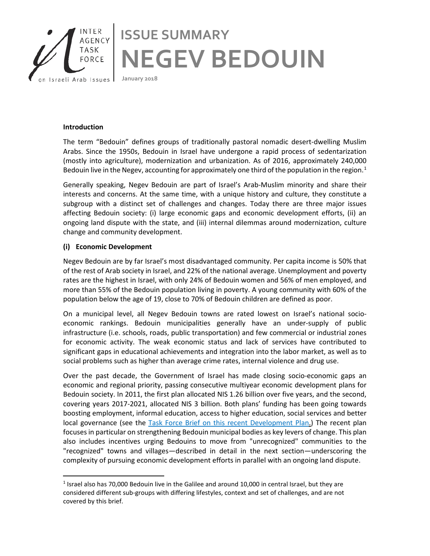

## **Introduction**

The term "Bedouin" defines groups of traditionally pastoral nomadic desert-dwelling Muslim Arabs. Since the 1950s, Bedouin in Israel have undergone a rapid process of sedentarization (mostly into agriculture), modernization and urbanization. As of 2016, approximately 240,000 Bedouin live in the Negev, accounting for approximately one third of the population in the region.<sup>[1](#page-0-0)</sup>

Generally speaking, Negev Bedouin are part of Israel's Arab-Muslim minority and share their interests and concerns. At the same time, with a unique history and culture, they constitute a subgroup with a distinct set of challenges and changes. Today there are three major issues affecting Bedouin society: (i) large economic gaps and economic development efforts, (ii) an ongoing land dispute with the state, and (iii) internal dilemmas around modernization, culture change and community development.

## **(i) Economic Development**

Negev Bedouin are by far Israel's most disadvantaged community. Per capita income is 50% that of the rest of Arab society in Israel, and 22% of the national average. Unemployment and poverty rates are the highest in Israel, with only 24% of Bedouin women and 56% of men employed, and more than 55% of the Bedouin population living in poverty. A young community with 60% of the population below the age of 19, close to 70% of Bedouin children are defined as poor.

On a municipal level, all Negev Bedouin towns are rated lowest on Israel's national socioeconomic rankings. Bedouin municipalities generally have an under-supply of public infrastructure (i.e. schools, roads, public transportation) and few commercial or industrial zones for economic activity. The weak economic status and lack of services have contributed to significant gaps in educational achievements and integration into the labor market, as well as to social problems such as higher than average crime rates, internal violence and drug use.

Over the past decade, the Government of Israel has made closing socio-economic gaps an economic and regional priority, passing consecutive multiyear economic development plans for Bedouin society. In 2011, the first plan allocated NIS 1.26 billion over five years, and the second, covering years 2017-2021, allocated NIS 3 billion. Both plans' funding has been going towards boosting employment, informal education, access to higher education, social services and better local governance (see the [Task Force Brief on this recent Development Plan.](http://iataskforce.org/sites/default/files/resource/resource-1500.pdf)) The recent plan focuses in particular on strengthening Bedouin municipal bodies as key levers of change. This plan also includes incentives urging Bedouins to move from "unrecognized" communities to the "recognized" towns and villages—described in detail in the next section—underscoring the complexity of pursuing economic development efforts in parallel with an ongoing land dispute.

<span id="page-0-0"></span> $<sup>1</sup>$  Israel also has 70,000 Bedouin live in the Galilee and around 10,000 in central Israel, but they are</sup> considered different sub-groups with differing lifestyles, context and set of challenges, and are not covered by this brief.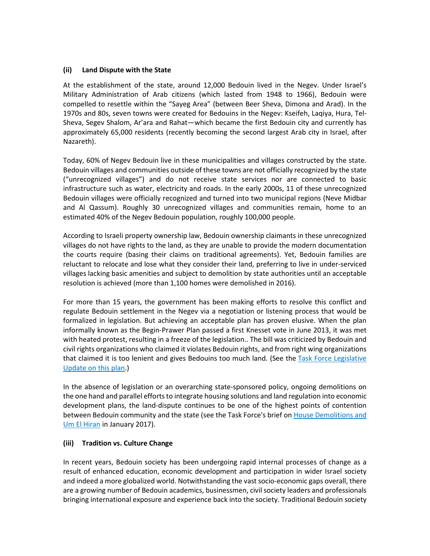## **(ii) Land Dispute with the State**

At the establishment of the state, around 12,000 Bedouin lived in the Negev. Under Israel's Military Administration of Arab citizens (which lasted from 1948 to 1966), Bedouin were compelled to resettle within the "Sayeg Area" (between Beer Sheva, Dimona and Arad). In the 1970s and 80s, seven towns were created for Bedouins in the Negev: Kseifeh, Laqiya, Hura, Tel-Sheva, Segev Shalom, Ar'ara and Rahat—which became the first Bedouin city and currently has approximately 65,000 residents (recently becoming the second largest Arab city in Israel, after Nazareth).

Today, 60% of Negev Bedouin live in these municipalities and villages constructed by the state. Bedouin villages and communities outside of these towns are not officially recognized by the state ("unrecognized villages") and do not receive state services nor are connected to basic infrastructure such as water, electricity and roads. In the early 2000s, 11 of these unrecognized Bedouin villages were officially recognized and turned into two municipal regions (Neve Midbar and Al Qassum). Roughly 30 unrecognized villages and communities remain, home to an estimated 40% of the Negev Bedouin population, roughly 100,000 people.

According to Israeli property ownership law, Bedouin ownership claimants in these unrecognized villages do not have rights to the land, as they are unable to provide the modern documentation the courts require (basing their claims on traditional agreements). Yet, Bedouin families are reluctant to relocate and lose what they consider their land, preferring to live in under-serviced villages lacking basic amenities and subject to demolition by state authorities until an acceptable resolution is achieved (more than 1,100 homes were demolished in 2016).

For more than 15 years, the government has been making efforts to resolve this conflict and regulate Bedouin settlement in the Negev via a negotiation or listening process that would be formalized in legislation. But achieving an acceptable plan has proven elusive. When the plan informally known as the Begin-Prawer Plan passed a first Knesset vote in June 2013, it was met with heated protest, resulting in a freeze of the legislation.. The bill was criticized by Bedouin and civil rights organizations who claimed it violates Bedouin rights, and from right wing organizations that claimed it is too lenient and gives Bedouins too much land. (See the [Task Force Legislative](http://iataskforce.org/sites/default/files/resource/resource-1058.pdf)  [Update](http://iataskforce.org/sites/default/files/resource/resource-1058.pdf) on this plan.)

In the absence of legislation or an overarching state-sponsored policy, ongoing demolitions on the one hand and parallel efforts to integrate housing solutions and land regulation into economic development plans, the land-dispute continues to be one of the highest points of contention between Bedouin community and the state (see the Task Force's brief on [House Demolitions and](http://iataskforce.org/sites/default/files/resource/resource-1488.pdf)  [Um El Hiran](http://iataskforce.org/sites/default/files/resource/resource-1488.pdf) in January 2017).

## **(iii) Tradition vs. Culture Change**

In recent years, Bedouin society has been undergoing rapid internal processes of change as a result of enhanced education, economic development and participation in wider Israel society and indeed a more globalized world. Notwithstanding the vast socio-economic gaps overall, there are a growing number of Bedouin academics, businessmen, civil society leaders and professionals bringing international exposure and experience back into the society. Traditional Bedouin society